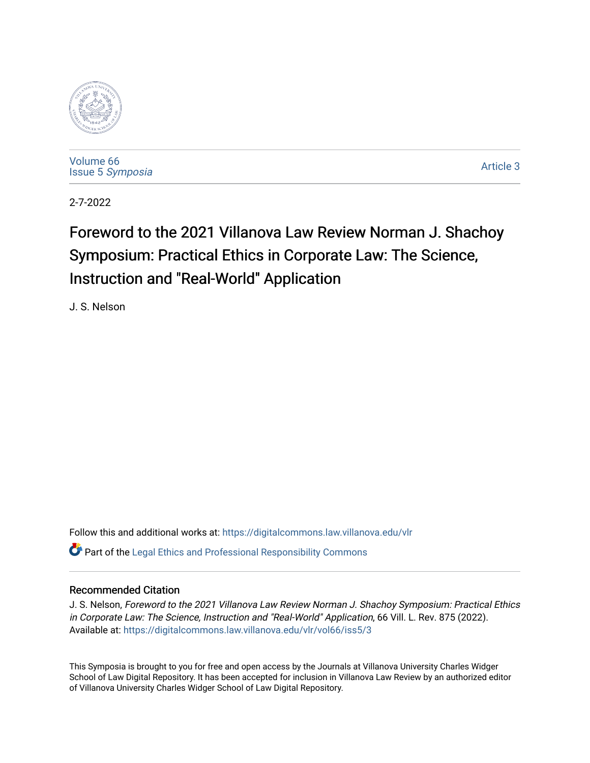

[Volume 66](https://digitalcommons.law.villanova.edu/vlr/vol66) Issue 5 [Symposia](https://digitalcommons.law.villanova.edu/vlr/vol66/iss5) 

[Article 3](https://digitalcommons.law.villanova.edu/vlr/vol66/iss5/3) 

2-7-2022

# Foreword to the 2021 Villanova Law Review Norman J. Shachoy Symposium: Practical Ethics in Corporate Law: The Science, Instruction and "Real-World" Application

J. S. Nelson

Follow this and additional works at: [https://digitalcommons.law.villanova.edu/vlr](https://digitalcommons.law.villanova.edu/vlr?utm_source=digitalcommons.law.villanova.edu%2Fvlr%2Fvol66%2Fiss5%2F3&utm_medium=PDF&utm_campaign=PDFCoverPages)

 $\bullet$  Part of the [Legal Ethics and Professional Responsibility Commons](https://network.bepress.com/hgg/discipline/895?utm_source=digitalcommons.law.villanova.edu%2Fvlr%2Fvol66%2Fiss5%2F3&utm_medium=PDF&utm_campaign=PDFCoverPages)

# Recommended Citation

J. S. Nelson, Foreword to the 2021 Villanova Law Review Norman J. Shachoy Symposium: Practical Ethics in Corporate Law: The Science, Instruction and "Real-World" Application, 66 Vill. L. Rev. 875 (2022). Available at: [https://digitalcommons.law.villanova.edu/vlr/vol66/iss5/3](https://digitalcommons.law.villanova.edu/vlr/vol66/iss5/3?utm_source=digitalcommons.law.villanova.edu%2Fvlr%2Fvol66%2Fiss5%2F3&utm_medium=PDF&utm_campaign=PDFCoverPages) 

This Symposia is brought to you for free and open access by the Journals at Villanova University Charles Widger School of Law Digital Repository. It has been accepted for inclusion in Villanova Law Review by an authorized editor of Villanova University Charles Widger School of Law Digital Repository.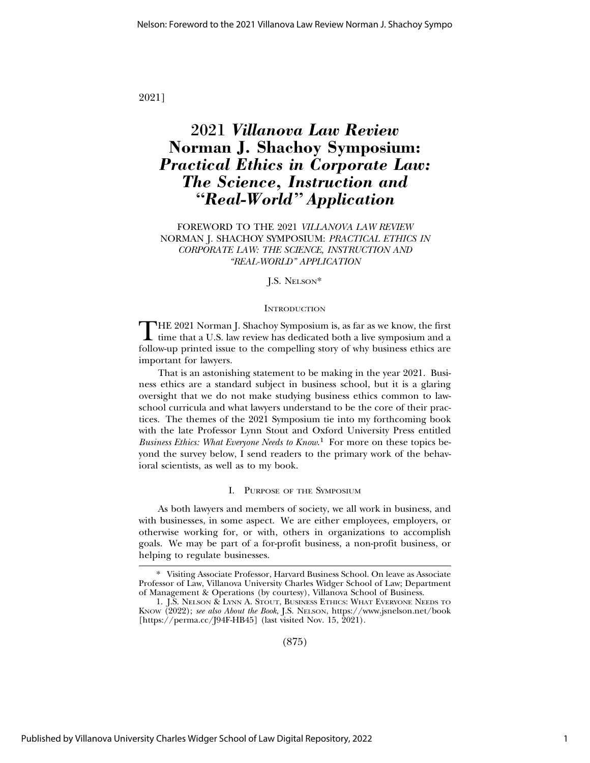2021]

# 2021 *Villanova Law Review* **Norman J. Shachoy Symposium:** *Practical Ethics in Corporate Law: The Science, Instruction and "Real-World" Application*

FOREWORD TO THE 2021 *VILLANOVA LAW REVIEW* NORMAN J. SHACHOY SYMPOSIUM: *PRACTICAL ETHICS IN CORPORATE LAW: THE SCIENCE, INSTRUCTION AND "REAL-WORLD" APPLICATION*

J.S. NELSON\*

# **INTRODUCTION**

THE 2021 Norman J. Shachoy Symposium is, as far as we know, the first  $\blacktriangle$  time that a U.S. law review has dedicated both a live symposium and a follow-up printed issue to the compelling story of why business ethics are important for lawyers.

That is an astonishing statement to be making in the year 2021. Business ethics are a standard subject in business school, but it is a glaring oversight that we do not make studying business ethics common to lawschool curricula and what lawyers understand to be the core of their practices. The themes of the 2021 Symposium tie into my forthcoming book with the late Professor Lynn Stout and Oxford University Press entitled *Business Ethics: What Everyone Needs to Know*. 1 For more on these topics beyond the survey below, I send readers to the primary work of the behavioral scientists, as well as to my book.

#### I. PURPOSE OF THE SYMPOSIUM

As both lawyers and members of society, we all work in business, and with businesses, in some aspect. We are either employees, employers, or otherwise working for, or with, others in organizations to accomplish goals. We may be part of a for-profit business, a non-profit business, or helping to regulate businesses.

(875)

<sup>\*</sup> Visiting Associate Professor, Harvard Business School. On leave as Associate Professor of Law, Villanova University Charles Widger School of Law; Department of Management & Operations (by courtesy), Villanova School of Business.

<sup>1.</sup> J.S. NELSON & LYNN A. STOUT, BUSINESS ETHICS: WHAT EVERYONE NEEDS TO KNOW (2022); *see also About the Book*, J.S. NELSON, https://www.jsnelson.net/book [https://perma.cc/J94F-HB45] (last visited Nov. 15, 2021).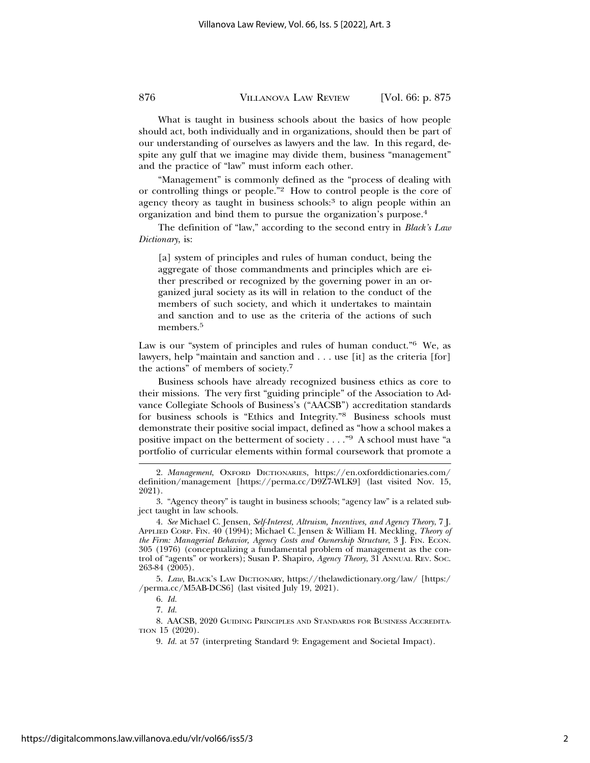What is taught in business schools about the basics of how people should act, both individually and in organizations, should then be part of our understanding of ourselves as lawyers and the law. In this regard, despite any gulf that we imagine may divide them, business "management" and the practice of "law" must inform each other.

"Management" is commonly defined as the "process of dealing with or controlling things or people."2 How to control people is the core of agency theory as taught in business schools:<sup>3</sup> to align people within an organization and bind them to pursue the organization's purpose.4

The definition of "law," according to the second entry in *Black's Law Dictionary*, is:

[a] system of principles and rules of human conduct, being the aggregate of those commandments and principles which are either prescribed or recognized by the governing power in an organized jural society as its will in relation to the conduct of the members of such society, and which it undertakes to maintain and sanction and to use as the criteria of the actions of such members.<sup>5</sup>

Law is our "system of principles and rules of human conduct."<sup>6</sup> We, as lawyers, help "maintain and sanction and . . . use [it] as the criteria [for] the actions" of members of society.7

Business schools have already recognized business ethics as core to their missions. The very first "guiding principle" of the Association to Advance Collegiate Schools of Business's ("AACSB") accreditation standards for business schools is "Ethics and Integrity."8 Business schools must demonstrate their positive social impact, defined as "how a school makes a positive impact on the betterment of society  $\dots$ ."<sup>9</sup> A school must have "a portfolio of curricular elements within formal coursework that promote a

5. *Law*, BLACK'S LAW DICTIONARY, https://thelawdictionary.org/law/ [https:/ /perma.cc/M5AB-DCS6] (last visited July 19, 2021).

7. *Id.*

8. AACSB, 2020 GUIDING PRINCIPLES AND STANDARDS FOR BUSINESS ACCREDITA-TION 15 (2020).

9. *Id.* at 57 (interpreting Standard 9: Engagement and Societal Impact).

<sup>2.</sup> *Management*, OXFORD DICTIONARIES, https://en.oxforddictionaries.com/ definition/management [https://perma.cc/D9Z7-WLK9] (last visited Nov. 15, 2021).

<sup>3. &</sup>quot;Agency theory" is taught in business schools; "agency law" is a related subject taught in law schools.

<sup>4.</sup> *See* Michael C. Jensen, *Self-Interest, Altruism, Incentives, and Agency Theory*, 7 J. APPLIED CORP. FIN. 40 (1994); Michael C. Jensen & William H. Meckling, *Theory of the Firm: Managerial Behavior, Agency Costs and Ownership Structure*, 3 J. FIN. ECON. 305 (1976) (conceptualizing a fundamental problem of management as the control of "agents" or workers); Susan P. Shapiro, *Agency Theory*, 31 ANNUAL REV. SOC. 263-84 (2005).

<sup>6.</sup> *Id.*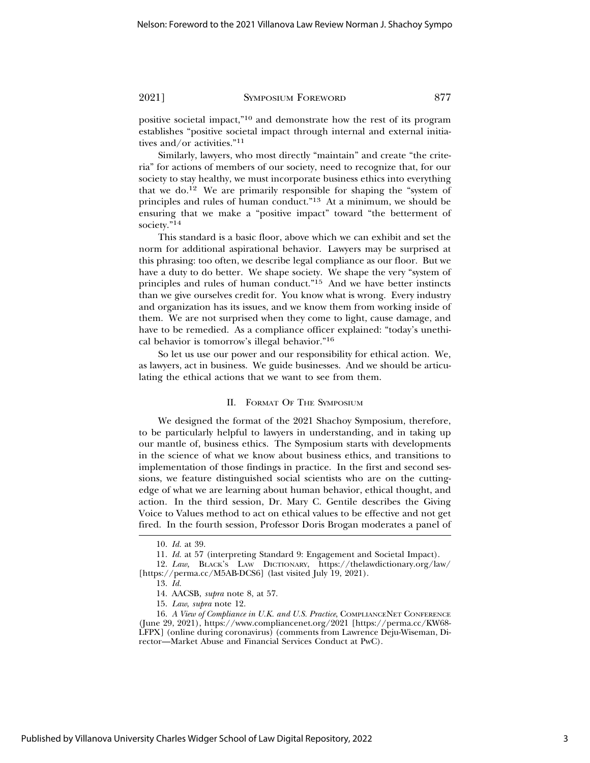positive societal impact,"10 and demonstrate how the rest of its program establishes "positive societal impact through internal and external initiatives and/or activities."11

Similarly, lawyers, who most directly "maintain" and create "the criteria" for actions of members of our society, need to recognize that, for our society to stay healthy, we must incorporate business ethics into everything that we do.12 We are primarily responsible for shaping the "system of principles and rules of human conduct."13 At a minimum, we should be ensuring that we make a "positive impact" toward "the betterment of society."<sup>14</sup>

This standard is a basic floor, above which we can exhibit and set the norm for additional aspirational behavior. Lawyers may be surprised at this phrasing: too often, we describe legal compliance as our floor. But we have a duty to do better. We shape society. We shape the very "system of principles and rules of human conduct."15 And we have better instincts than we give ourselves credit for. You know what is wrong. Every industry and organization has its issues, and we know them from working inside of them. We are not surprised when they come to light, cause damage, and have to be remedied. As a compliance officer explained: "today's unethical behavior is tomorrow's illegal behavior."16

So let us use our power and our responsibility for ethical action. We, as lawyers, act in business. We guide businesses. And we should be articulating the ethical actions that we want to see from them.

#### II. FORMAT OF THE SYMPOSIUM

We designed the format of the 2021 Shachoy Symposium, therefore, to be particularly helpful to lawyers in understanding, and in taking up our mantle of, business ethics. The Symposium starts with developments in the science of what we know about business ethics, and transitions to implementation of those findings in practice. In the first and second sessions, we feature distinguished social scientists who are on the cuttingedge of what we are learning about human behavior, ethical thought, and action. In the third session, Dr. Mary C. Gentile describes the Giving Voice to Values method to act on ethical values to be effective and not get fired. In the fourth session, Professor Doris Brogan moderates a panel of

<sup>10.</sup> *Id.* at 39.

<sup>11.</sup> *Id.* at 57 (interpreting Standard 9: Engagement and Societal Impact).

<sup>12.</sup> *Law*, BLACK'S LAW DICTIONARY, https://thelawdictionary.org/law/ [https://perma.cc/M5AB-DCS6] (last visited July 19, 2021).

<sup>13.</sup> *Id.*

<sup>14.</sup> AACSB, *supra* note 8, at 57.

<sup>15.</sup> *Law*, *supra* note 12.

<sup>16.</sup> *A View of Compliance in U.K. and U.S. Practice*, COMPLIANCENET CONFERENCE (June 29, 2021), https://www.compliancenet.org/2021 [https://perma.cc/KW68- LFPX] (online during coronavirus) (comments from Lawrence Deju-Wiseman, Director—Market Abuse and Financial Services Conduct at PwC).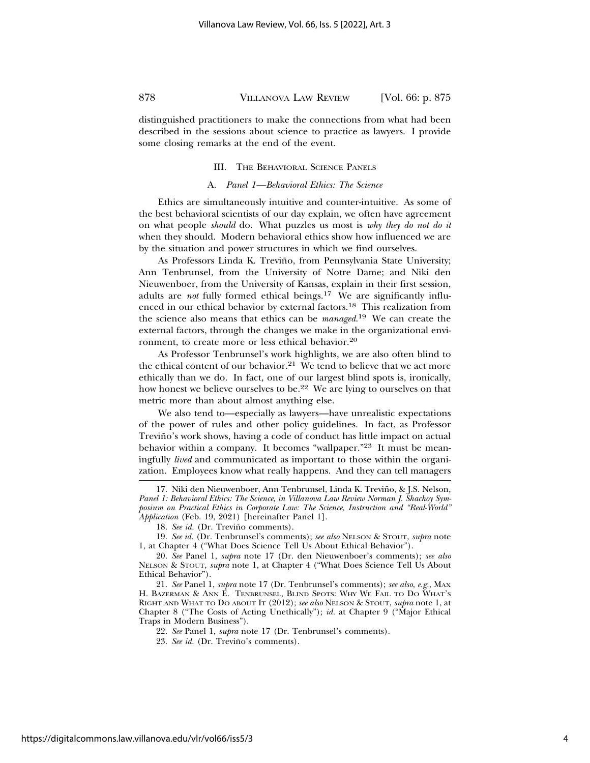distinguished practitioners to make the connections from what had been described in the sessions about science to practice as lawyers. I provide some closing remarks at the end of the event.

#### III. THE BEHAVIORAL SCIENCE PANELS

#### A. *Panel 1—Behavioral Ethics: The Science*

Ethics are simultaneously intuitive and counter-intuitive. As some of the best behavioral scientists of our day explain, we often have agreement on what people *should* do. What puzzles us most is *why they do not do it* when they should. Modern behavioral ethics show how influenced we are by the situation and power structures in which we find ourselves.

As Professors Linda K. Treviño, from Pennsylvania State University; Ann Tenbrunsel, from the University of Notre Dame; and Niki den Nieuwenboer, from the University of Kansas, explain in their first session, adults are *not* fully formed ethical beings.<sup>17</sup> We are significantly influenced in our ethical behavior by external factors.18 This realization from the science also means that ethics can be *managed*. 19 We can create the external factors, through the changes we make in the organizational environment, to create more or less ethical behavior.20

As Professor Tenbrunsel's work highlights, we are also often blind to the ethical content of our behavior.<sup>21</sup> We tend to believe that we act more ethically than we do. In fact, one of our largest blind spots is, ironically, how honest we believe ourselves to be.22 We are lying to ourselves on that metric more than about almost anything else.

We also tend to—especially as lawyers—have unrealistic expectations of the power of rules and other policy guidelines. In fact, as Professor Treviño's work shows, having a code of conduct has little impact on actual behavior within a company. It becomes "wallpaper."<sup>23</sup> It must be meaningfully *lived* and communicated as important to those within the organization. Employees know what really happens. And they can tell managers

21. *See* Panel 1, *supra* note 17 (Dr. Tenbrunsel's comments); *see also*, *e.g.*, MAX H. BAZERMAN & ANN E. TENBRUNSEL, BLIND SPOTS: WHY WE FAIL TO DO WHAT'S RIGHT AND WHAT TO DO ABOUT IT (2012); *see also* NELSON & STOUT, *supra* note 1, at Chapter 8 ("The Costs of Acting Unethically"); *id.* at Chapter 9 ("Major Ethical Traps in Modern Business").

22. *See* Panel 1, *supra* note 17 (Dr. Tenbrunsel's comments).

<sup>17.</sup> Niki den Nieuwenboer, Ann Tenbrunsel, Linda K. Treviño, & J.S. Nelson, *Panel 1: Behavioral Ethics: The Science*, *in Villanova Law Review Norman J. Shachoy Symposium on Practical Ethics in Corporate Law: The Science, Instruction and "Real-World" Application* (Feb. 19, 2021) [hereinafter Panel 1].

<sup>18.</sup> See id. (Dr. Treviño comments).

<sup>19.</sup> *See id.* (Dr. Tenbrunsel's comments); *see also* NELSON & STOUT, *supra* note 1, at Chapter 4 ("What Does Science Tell Us About Ethical Behavior").

<sup>20.</sup> *See* Panel 1, *supra* note 17 (Dr. den Nieuwenboer's comments); *see also* NELSON & STOUT, *supra* note 1, at Chapter 4 ("What Does Science Tell Us About Ethical Behavior").

<sup>23.</sup> See id. (Dr. Treviño's comments).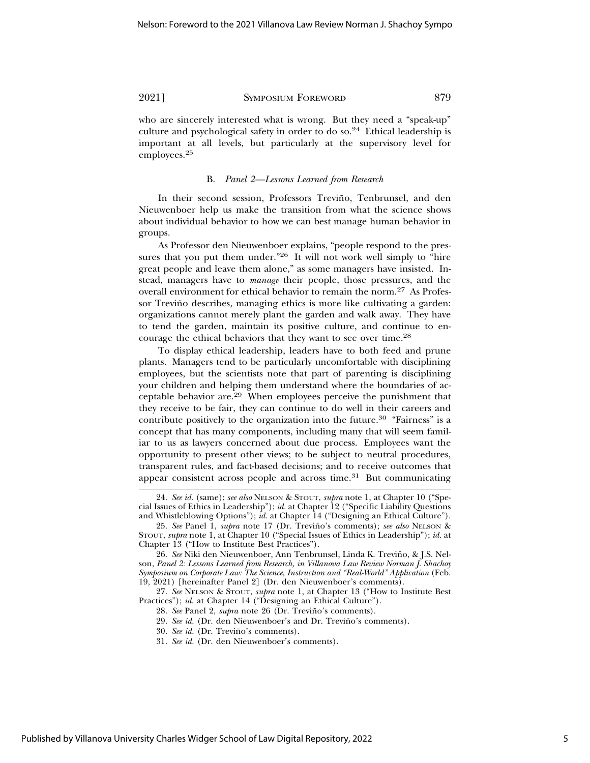who are sincerely interested what is wrong. But they need a "speak-up" culture and psychological safety in order to do so.24 Ethical leadership is important at all levels, but particularly at the supervisory level for employees.<sup>25</sup>

#### B. *Panel 2—Lessons Learned from Research*

In their second session, Professors Treviño, Tenbrunsel, and den Nieuwenboer help us make the transition from what the science shows about individual behavior to how we can best manage human behavior in groups.

As Professor den Nieuwenboer explains, "people respond to the pressures that you put them under."<sup>26</sup> It will not work well simply to "hire great people and leave them alone," as some managers have insisted. Instead, managers have to *manage* their people, those pressures, and the overall environment for ethical behavior to remain the norm.27 As Professor Treviño describes, managing ethics is more like cultivating a garden: organizations cannot merely plant the garden and walk away. They have to tend the garden, maintain its positive culture, and continue to encourage the ethical behaviors that they want to see over time.28

To display ethical leadership, leaders have to both feed and prune plants. Managers tend to be particularly uncomfortable with disciplining employees, but the scientists note that part of parenting is disciplining your children and helping them understand where the boundaries of acceptable behavior are.29 When employees perceive the punishment that they receive to be fair, they can continue to do well in their careers and contribute positively to the organization into the future.<sup>30</sup> "Fairness" is a concept that has many components, including many that will seem familiar to us as lawyers concerned about due process. Employees want the opportunity to present other views; to be subject to neutral procedures, transparent rules, and fact-based decisions; and to receive outcomes that appear consistent across people and across time. $31$  But communicating

<sup>24.</sup> *See id.* (same); *see also* NELSON & STOUT, *supra* note 1, at Chapter 10 ("Special Issues of Ethics in Leadership"); *id.* at Chapter 12 ("Specific Liability Questions and Whistleblowing Options"); *id.* at Chapter 14 ("Designing an Ethical Culture").

<sup>25.</sup> See Panel 1, *supra* note 17 (Dr. Treviño's comments); see also NELSON & STOUT, *supra* note 1, at Chapter 10 ("Special Issues of Ethics in Leadership"); *id.* at Chapter 13 ("How to Institute Best Practices").

<sup>26.</sup> *See* Niki den Nieuwenboer, Ann Tenbrunsel, Linda K. Treviño, & J.S. Nelson, *Panel 2: Lessons Learned from Research, in Villanova Law Review Norman J. Shachoy Symposium on Corporate Law: The Science, Instruction and "Real-World" Application* (Feb. 19, 2021) [hereinafter Panel 2] (Dr. den Nieuwenboer's comments).

<sup>27.</sup> *See* NELSON & STOUT, *supra* note 1, at Chapter 13 ("How to Institute Best Practices"); *id.* at Chapter 14 ("Designing an Ethical Culture").

<sup>28.</sup> *See* Panel 2, *supra* note 26 (Dr. Treviño's comments).

<sup>29.</sup> *See id.* (Dr. den Nieuwenboer's and Dr. Treviño's comments).

<sup>30.</sup> See id. (Dr. Treviño's comments).

<sup>31.</sup> *See id.* (Dr. den Nieuwenboer's comments).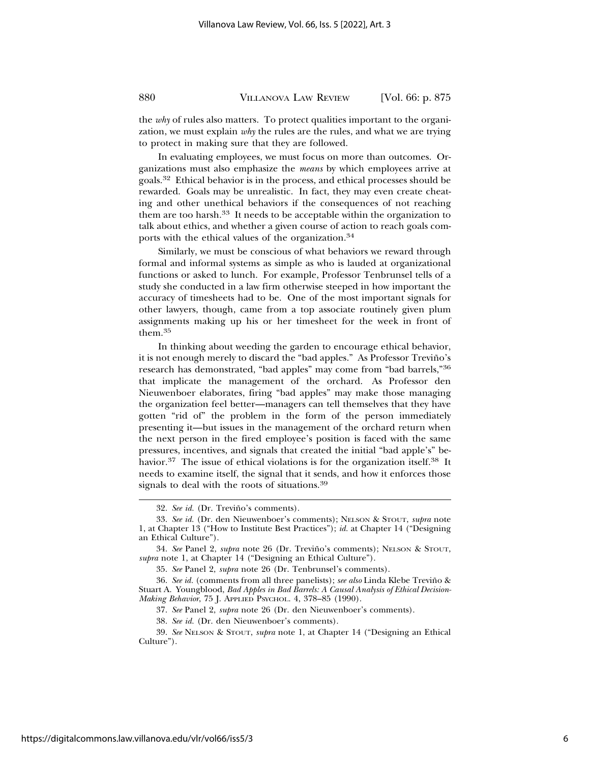the *why* of rules also matters. To protect qualities important to the organization, we must explain *why* the rules are the rules, and what we are trying to protect in making sure that they are followed.

In evaluating employees, we must focus on more than outcomes. Organizations must also emphasize the *means* by which employees arrive at goals.32 Ethical behavior is in the process, and ethical processes should be rewarded. Goals may be unrealistic. In fact, they may even create cheating and other unethical behaviors if the consequences of not reaching them are too harsh.33 It needs to be acceptable within the organization to talk about ethics, and whether a given course of action to reach goals comports with the ethical values of the organization.34

Similarly, we must be conscious of what behaviors we reward through formal and informal systems as simple as who is lauded at organizational functions or asked to lunch. For example, Professor Tenbrunsel tells of a study she conducted in a law firm otherwise steeped in how important the accuracy of timesheets had to be. One of the most important signals for other lawyers, though, came from a top associate routinely given plum assignments making up his or her timesheet for the week in front of them.<sup>35</sup>

In thinking about weeding the garden to encourage ethical behavior, it is not enough merely to discard the "bad apples." As Professor Treviño's research has demonstrated, "bad apples" may come from "bad barrels,"36 that implicate the management of the orchard. As Professor den Nieuwenboer elaborates, firing "bad apples" may make those managing the organization feel better—managers can tell themselves that they have gotten "rid of" the problem in the form of the person immediately presenting it—but issues in the management of the orchard return when the next person in the fired employee's position is faced with the same pressures, incentives, and signals that created the initial "bad apple's" behavior.<sup>37</sup> The issue of ethical violations is for the organization itself.<sup>38</sup> It needs to examine itself, the signal that it sends, and how it enforces those signals to deal with the roots of situations.<sup>39</sup>

37. *See* Panel 2, *supra* note 26 (Dr. den Nieuwenboer's comments).

38. *See id.* (Dr. den Nieuwenboer's comments).

<sup>32.</sup> See id. (Dr. Treviño's comments).

<sup>33.</sup> *See id.* (Dr. den Nieuwenboer's comments); NELSON & STOUT, *supra* note 1, at Chapter 13 ("How to Institute Best Practices"); *id.* at Chapter 14 ("Designing an Ethical Culture").

<sup>34.</sup> *See* Panel 2, *supra* note 26 (Dr. Treviño's comments); NELSON & STOUT, *supra* note 1, at Chapter 14 ("Designing an Ethical Culture").

<sup>35.</sup> *See* Panel 2, *supra* note 26 (Dr. Tenbrunsel's comments).

<sup>36.</sup> *See id.* (comments from all three panelists); *see also* Linda Klebe Trevino & ˜ Stuart A. Youngblood, *Bad Apples in Bad Barrels: A Causal Analysis of Ethical Decision-Making Behavior*, 75 J. APPLIED PSYCHOL. 4, 378–85 (1990).

<sup>39.</sup> *See* NELSON & STOUT, *supra* note 1, at Chapter 14 ("Designing an Ethical Culture").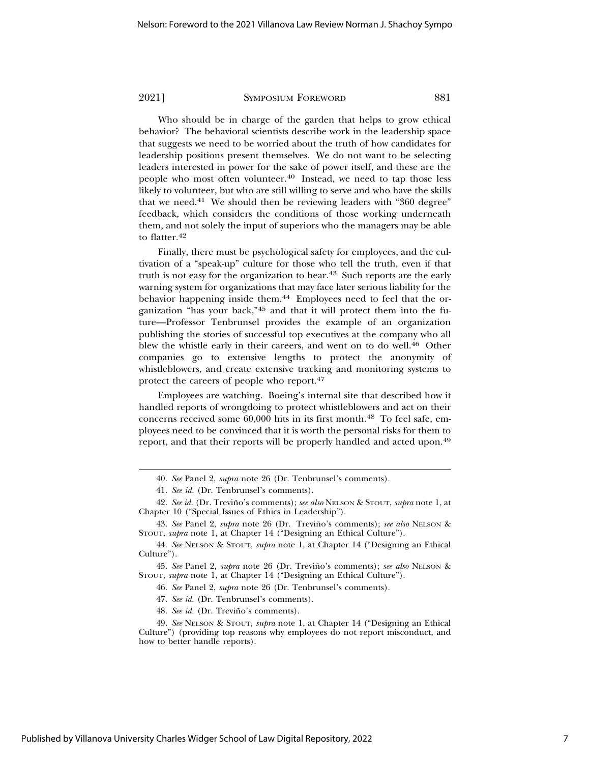Who should be in charge of the garden that helps to grow ethical behavior? The behavioral scientists describe work in the leadership space that suggests we need to be worried about the truth of how candidates for leadership positions present themselves. We do not want to be selecting leaders interested in power for the sake of power itself, and these are the people who most often volunteer.<sup>40</sup> Instead, we need to tap those less likely to volunteer, but who are still willing to serve and who have the skills that we need.<sup>41</sup> We should then be reviewing leaders with "360 degree" feedback, which considers the conditions of those working underneath them, and not solely the input of superiors who the managers may be able to flatter.<sup>42</sup>

Finally, there must be psychological safety for employees, and the cultivation of a "speak-up" culture for those who tell the truth, even if that truth is not easy for the organization to hear.<sup>43</sup> Such reports are the early warning system for organizations that may face later serious liability for the behavior happening inside them.<sup>44</sup> Employees need to feel that the organization "has your back,"45 and that it will protect them into the future—Professor Tenbrunsel provides the example of an organization publishing the stories of successful top executives at the company who all blew the whistle early in their careers, and went on to do well.<sup>46</sup> Other companies go to extensive lengths to protect the anonymity of whistleblowers, and create extensive tracking and monitoring systems to protect the careers of people who report.47

Employees are watching. Boeing's internal site that described how it handled reports of wrongdoing to protect whistleblowers and act on their concerns received some 60,000 hits in its first month.<sup>48</sup> To feel safe, employees need to be convinced that it is worth the personal risks for them to report, and that their reports will be properly handled and acted upon.49

45. See Panel 2, *supra* note 26 (Dr. Treviño's comments); see also NELSON & STOUT, *supra* note 1, at Chapter 14 ("Designing an Ethical Culture").

46. *See* Panel 2, *supra* note 26 (Dr. Tenbrunsel's comments).

47. *See id.* (Dr. Tenbrunsel's comments).

48. *See id.* (Dr. Treviño's comments).

<sup>40.</sup> *See* Panel 2, *supra* note 26 (Dr. Tenbrunsel's comments).

<sup>41.</sup> *See id.* (Dr. Tenbrunsel's comments).

<sup>42.</sup> See id. (Dr. Treviño's comments); see also NELSON & STOUT, supra note 1, at Chapter 10 ("Special Issues of Ethics in Leadership").

<sup>43.</sup> See Panel 2, *supra* note 26 (Dr. Treviño's comments); see also NELSON & STOUT, *supra* note 1, at Chapter 14 ("Designing an Ethical Culture").

<sup>44.</sup> *See* NELSON & STOUT, *supra* note 1, at Chapter 14 ("Designing an Ethical Culture").

<sup>49.</sup> *See* NELSON & STOUT, *supra* note 1, at Chapter 14 ("Designing an Ethical Culture") (providing top reasons why employees do not report misconduct, and how to better handle reports).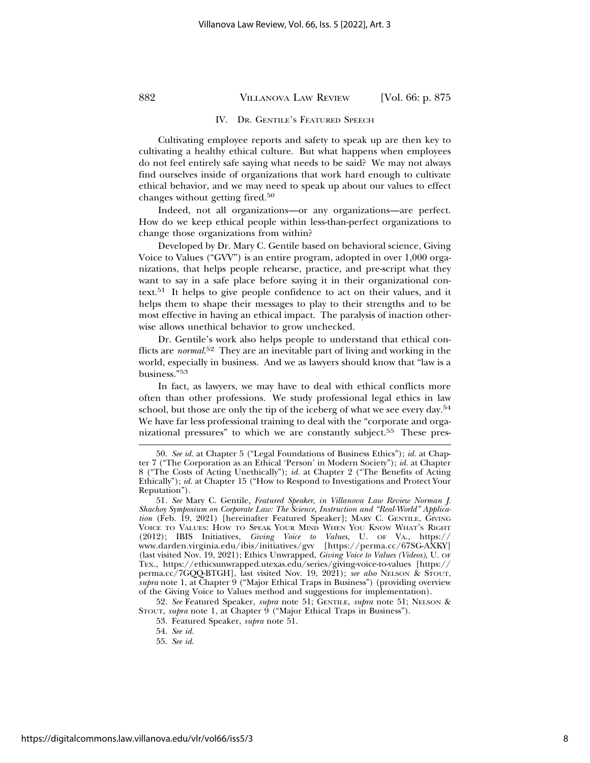#### IV. DR. GENTILE'S FEATURED SPEECH

Cultivating employee reports and safety to speak up are then key to cultivating a healthy ethical culture. But what happens when employees do not feel entirely safe saying what needs to be said? We may not always find ourselves inside of organizations that work hard enough to cultivate ethical behavior, and we may need to speak up about our values to effect changes without getting fired.50

Indeed, not all organizations—or any organizations—are perfect. How do we keep ethical people within less-than-perfect organizations to change those organizations from within?

Developed by Dr. Mary C. Gentile based on behavioral science, Giving Voice to Values ("GVV") is an entire program, adopted in over 1,000 organizations, that helps people rehearse, practice, and pre-script what they want to say in a safe place before saying it in their organizational context.<sup>51</sup> It helps to give people confidence to act on their values, and it helps them to shape their messages to play to their strengths and to be most effective in having an ethical impact. The paralysis of inaction otherwise allows unethical behavior to grow unchecked.

Dr. Gentile's work also helps people to understand that ethical conflicts are *normal*. 52 They are an inevitable part of living and working in the world, especially in business. And we as lawyers should know that "law is a business."<sup>53</sup>

In fact, as lawyers, we may have to deal with ethical conflicts more often than other professions. We study professional legal ethics in law school, but those are only the tip of the iceberg of what we see every day.54 We have far less professional training to deal with the "corporate and organizational pressures" to which we are constantly subject.<sup>55</sup> These pres-

52. *See* Featured Speaker, *supra* note 51; GENTILE, *supra* note 51; NELSON & STOUT, *supra* note 1, at Chapter 9 ("Major Ethical Traps in Business").

53. Featured Speaker, *supra* note 51.

<sup>50.</sup> *See id.* at Chapter 5 ("Legal Foundations of Business Ethics"); *id.* at Chapter 7 ("The Corporation as an Ethical 'Person' in Modern Society"); *id.* at Chapter 8 ("The Costs of Acting Unethically"); *id.* at Chapter 2 ("The Benefits of Acting Ethically"); *id.* at Chapter 15 ("How to Respond to Investigations and Protect Your Reputation").

<sup>51.</sup> *See* Mary C. Gentile, *Featured Speaker*, *in Villanova Law Review Norman J. Shachoy Symposium on Corporate Law: The Science, Instruction and "Real-World" Application* (Feb. 19, 2021) [hereinafter Featured Speaker]; MARY C. GENTILE, GIVING VOICE TO VALUES: HOW TO SPEAK YOUR MIND WHEN YOU KNOW WHAT'S RIGHT (2012); IBIS Initiatives, *Giving Voice to Values*, U. OF VA., https:// www.darden.virginia.edu/ibis/initiatives/gvv [https://perma.cc/67SG-AXKY] (last visited Nov. 19, 2021); Ethics Unwrapped, *Giving Voice to Values (Videos)*, U. OF TEX., https://ethicsunwrapped.utexas.edu/series/giving-voice-to-values [https:// perma.cc/7GQQ-BTGH], last visited Nov. 19, 2021); *see also* NELSON & STOUT, *supra* note 1, at Chapter 9 ("Major Ethical Traps in Business") (providing overview of the Giving Voice to Values method and suggestions for implementation).

<sup>54.</sup> *See id.*

<sup>55.</sup> *See id.*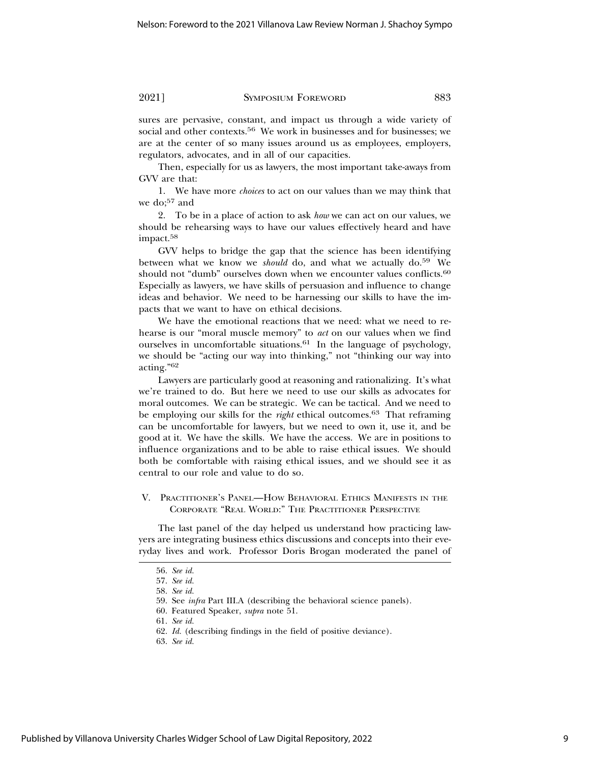sures are pervasive, constant, and impact us through a wide variety of social and other contexts.<sup>56</sup> We work in businesses and for businesses; we are at the center of so many issues around us as employees, employers, regulators, advocates, and in all of our capacities.

Then, especially for us as lawyers, the most important take-aways from GVV are that:

1. We have more *choices* to act on our values than we may think that we do;<sup>57</sup> and

2. To be in a place of action to ask *how* we can act on our values, we should be rehearsing ways to have our values effectively heard and have impact.<sup>58</sup>

GVV helps to bridge the gap that the science has been identifying between what we know we *should* do, and what we actually do.<sup>59</sup> We should not "dumb" ourselves down when we encounter values conflicts.<sup>60</sup> Especially as lawyers, we have skills of persuasion and influence to change ideas and behavior. We need to be harnessing our skills to have the impacts that we want to have on ethical decisions.

We have the emotional reactions that we need: what we need to rehearse is our "moral muscle memory" to *act* on our values when we find ourselves in uncomfortable situations.61 In the language of psychology, we should be "acting our way into thinking," not "thinking our way into acting."<sup>62</sup>

Lawyers are particularly good at reasoning and rationalizing. It's what we're trained to do. But here we need to use our skills as advocates for moral outcomes. We can be strategic. We can be tactical. And we need to be employing our skills for the *right* ethical outcomes.<sup>63</sup> That reframing can be uncomfortable for lawyers, but we need to own it, use it, and be good at it. We have the skills. We have the access. We are in positions to influence organizations and to be able to raise ethical issues. We should both be comfortable with raising ethical issues, and we should see it as central to our role and value to do so.

V. PRACTITIONER'S PANEL—HOW BEHAVIORAL ETHICS MANIFESTS IN THE CORPORATE "REAL WORLD:" THE PRACTITIONER PERSPECTIVE

The last panel of the day helped us understand how practicing lawyers are integrating business ethics discussions and concepts into their everyday lives and work. Professor Doris Brogan moderated the panel of

<sup>56.</sup> *See id.*

<sup>57.</sup> *See id.*

<sup>58.</sup> *See id.*

<sup>59.</sup> See *infra* Part III.A (describing the behavioral science panels).

<sup>60.</sup> Featured Speaker, *supra* note 51.

<sup>61.</sup> *See id.*

<sup>62.</sup> *Id.* (describing findings in the field of positive deviance).

<sup>63.</sup> *See id.*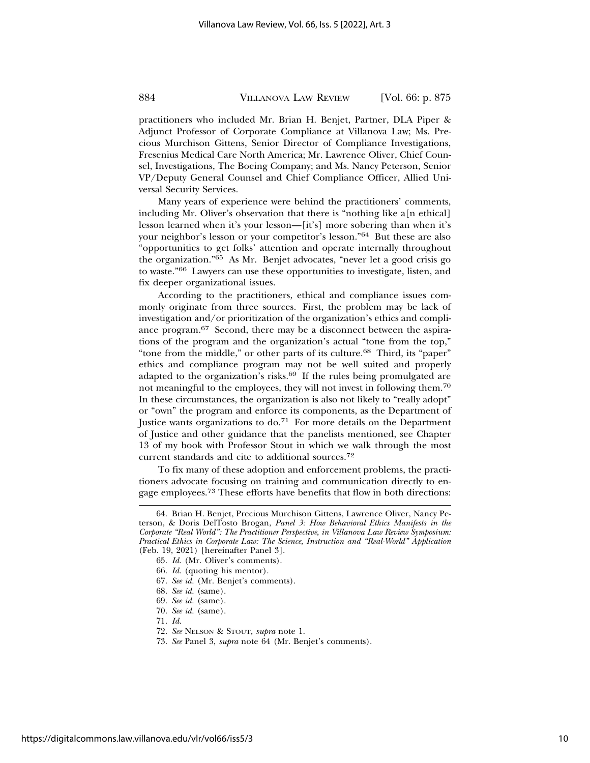practitioners who included Mr. Brian H. Benjet, Partner, DLA Piper & Adjunct Professor of Corporate Compliance at Villanova Law; Ms. Precious Murchison Gittens, Senior Director of Compliance Investigations, Fresenius Medical Care North America; Mr. Lawrence Oliver, Chief Counsel, Investigations, The Boeing Company; and Ms. Nancy Peterson, Senior VP/Deputy General Counsel and Chief Compliance Officer, Allied Universal Security Services.

Many years of experience were behind the practitioners' comments, including Mr. Oliver's observation that there is "nothing like a[n ethical] lesson learned when it's your lesson—[it's] more sobering than when it's your neighbor's lesson or your competitor's lesson."64 But these are also "opportunities to get folks' attention and operate internally throughout the organization."65 As Mr. Benjet advocates, "never let a good crisis go to waste."66 Lawyers can use these opportunities to investigate, listen, and fix deeper organizational issues.

According to the practitioners, ethical and compliance issues commonly originate from three sources. First, the problem may be lack of investigation and/or prioritization of the organization's ethics and compliance program.67 Second, there may be a disconnect between the aspirations of the program and the organization's actual "tone from the top," "tone from the middle," or other parts of its culture.<sup>68</sup> Third, its "paper" ethics and compliance program may not be well suited and properly adapted to the organization's risks.<sup>69</sup> If the rules being promulgated are not meaningful to the employees, they will not invest in following them.70 In these circumstances, the organization is also not likely to "really adopt" or "own" the program and enforce its components, as the Department of Justice wants organizations to do.<sup>71</sup> For more details on the Department of Justice and other guidance that the panelists mentioned, see Chapter 13 of my book with Professor Stout in which we walk through the most current standards and cite to additional sources.72

To fix many of these adoption and enforcement problems, the practitioners advocate focusing on training and communication directly to engage employees.<sup>73</sup> These efforts have benefits that flow in both directions:

<sup>64.</sup> Brian H. Benjet, Precious Murchison Gittens, Lawrence Oliver, Nancy Peterson, & Doris DelTosto Brogan, *Panel 3: How Behavioral Ethics Manifests in the Corporate "Real World": The Practitioner Perspective*, *in Villanova Law Review Symposium: Practical Ethics in Corporate Law: The Science, Instruction and "Real-World" Application* (Feb. 19, 2021) [hereinafter Panel 3].

<sup>65.</sup> *Id.* (Mr. Oliver's comments).

<sup>66.</sup> *Id.* (quoting his mentor).

<sup>67.</sup> *See id.* (Mr. Benjet's comments).

<sup>68.</sup> *See id.* (same).

<sup>69.</sup> *See id.* (same).

<sup>70.</sup> *See id.* (same).

<sup>71.</sup> *Id.*

<sup>72.</sup> *See* NELSON & STOUT, *supra* note 1.

<sup>73.</sup> *See* Panel 3, *supra* note 64 (Mr. Benjet's comments).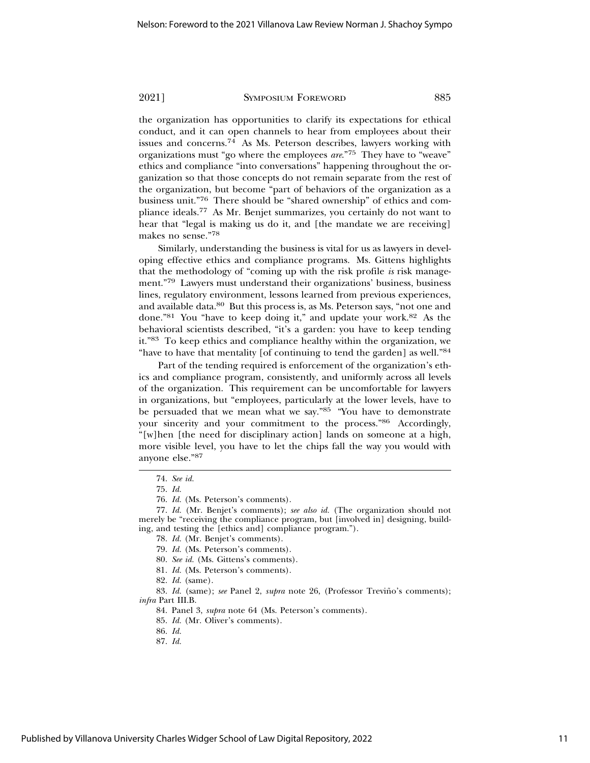the organization has opportunities to clarify its expectations for ethical conduct, and it can open channels to hear from employees about their issues and concerns.<sup>74</sup> As Ms. Peterson describes, lawyers working with organizations must "go where the employees *are*."75 They have to "weave" ethics and compliance "into conversations" happening throughout the organization so that those concepts do not remain separate from the rest of the organization, but become "part of behaviors of the organization as a business unit."76 There should be "shared ownership" of ethics and compliance ideals.77 As Mr. Benjet summarizes, you certainly do not want to hear that "legal is making us do it, and [the mandate we are receiving] makes no sense."78

Similarly, understanding the business is vital for us as lawyers in developing effective ethics and compliance programs. Ms. Gittens highlights that the methodology of "coming up with the risk profile *is* risk management."79 Lawyers must understand their organizations' business, business lines, regulatory environment, lessons learned from previous experiences, and available data.80 But this process is, as Ms. Peterson says, "not one and done."81 You "have to keep doing it," and update your work.82 As the behavioral scientists described, "it's a garden: you have to keep tending it."83 To keep ethics and compliance healthy within the organization, we "have to have that mentality [of continuing to tend the garden] as well."84

Part of the tending required is enforcement of the organization's ethics and compliance program, consistently, and uniformly across all levels of the organization. This requirement can be uncomfortable for lawyers in organizations, but "employees, particularly at the lower levels, have to be persuaded that we mean what we say."85 "You have to demonstrate your sincerity and your commitment to the process."86 Accordingly, "[w]hen [the need for disciplinary action] lands on someone at a high, more visible level, you have to let the chips fall the way you would with anyone else."87

- 81. *Id.* (Ms. Peterson's comments).
- 82. *Id.* (same).

83. *Id.* (same); see Panel 2, *supra* note 26, (Professor Treviño's comments); *infra* Part III.B.

84. Panel 3, *supra* note 64 (Ms. Peterson's comments).

86. *Id.*

<sup>74.</sup> *See id.*

<sup>75.</sup> *Id.*

<sup>76.</sup> *Id.* (Ms. Peterson's comments).

<sup>77.</sup> *Id.* (Mr. Benjet's comments); *see also id.* (The organization should not merely be "receiving the compliance program, but [involved in] designing, building, and testing the [ethics and] compliance program.").

<sup>78.</sup> *Id.* (Mr. Benjet's comments).

<sup>79.</sup> *Id.* (Ms. Peterson's comments).

<sup>80.</sup> *See id.* (Ms. Gittens's comments).

<sup>85.</sup> *Id.* (Mr. Oliver's comments).

<sup>87.</sup> *Id.*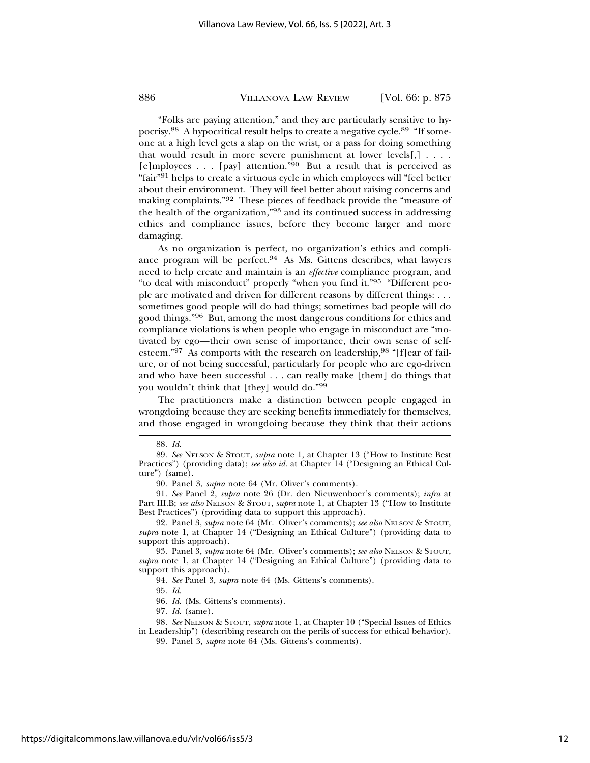"Folks are paying attention," and they are particularly sensitive to hypocrisy.88 A hypocritical result helps to create a negative cycle.89 "If someone at a high level gets a slap on the wrist, or a pass for doing something that would result in more severe punishment at lower levels $[,] \ldots$ . [e]mployees . . . [pay] attention."<sup>90</sup> But a result that is perceived as "fair"91 helps to create a virtuous cycle in which employees will "feel better about their environment. They will feel better about raising concerns and making complaints."92 These pieces of feedback provide the "measure of the health of the organization,"93 and its continued success in addressing ethics and compliance issues, before they become larger and more damaging.

As no organization is perfect, no organization's ethics and compliance program will be perfect.94 As Ms. Gittens describes, what lawyers need to help create and maintain is an *effective* compliance program, and "to deal with misconduct" properly "when you find it."95 "Different people are motivated and driven for different reasons by different things: . . . sometimes good people will do bad things; sometimes bad people will do good things."96 But, among the most dangerous conditions for ethics and compliance violations is when people who engage in misconduct are "motivated by ego—their own sense of importance, their own sense of selfesteem."97 As comports with the research on leadership, 98 "[f]ear of failure, or of not being successful, particularly for people who are ego-driven and who have been successful . . . can really make [them] do things that you wouldn't think that [they] would do."99

The practitioners make a distinction between people engaged in wrongdoing because they are seeking benefits immediately for themselves, and those engaged in wrongdoing because they think that their actions

<sup>88.</sup> *Id.*

<sup>89.</sup> *See* NELSON & STOUT, *supra* note 1, at Chapter 13 ("How to Institute Best Practices") (providing data); *see also id.* at Chapter 14 ("Designing an Ethical Culture") (same).

<sup>90.</sup> Panel 3, *supra* note 64 (Mr. Oliver's comments).

<sup>91.</sup> *See* Panel 2, *supra* note 26 (Dr. den Nieuwenboer's comments); *infra* at Part III.B; *see also* NELSON & STOUT, *supra* note 1, at Chapter 13 ("How to Institute Best Practices") (providing data to support this approach).

<sup>92.</sup> Panel 3, *supra* note 64 (Mr. Oliver's comments); *see also* NELSON & STOUT, *supra* note 1, at Chapter 14 ("Designing an Ethical Culture") (providing data to support this approach).

<sup>93.</sup> Panel 3, *supra* note 64 (Mr. Oliver's comments); *see also* NELSON & STOUT, *supra* note 1, at Chapter 14 ("Designing an Ethical Culture") (providing data to support this approach).

<sup>94.</sup> *See* Panel 3, *supra* note 64 (Ms. Gittens's comments).

<sup>95.</sup> *Id.*

<sup>96.</sup> *Id.* (Ms. Gittens's comments).

<sup>97.</sup> *Id.* (same).

<sup>98.</sup> *See* NELSON & STOUT, *supra* note 1, at Chapter 10 ("Special Issues of Ethics in Leadership") (describing research on the perils of success for ethical behavior).

<sup>99.</sup> Panel 3, *supra* note 64 (Ms. Gittens's comments).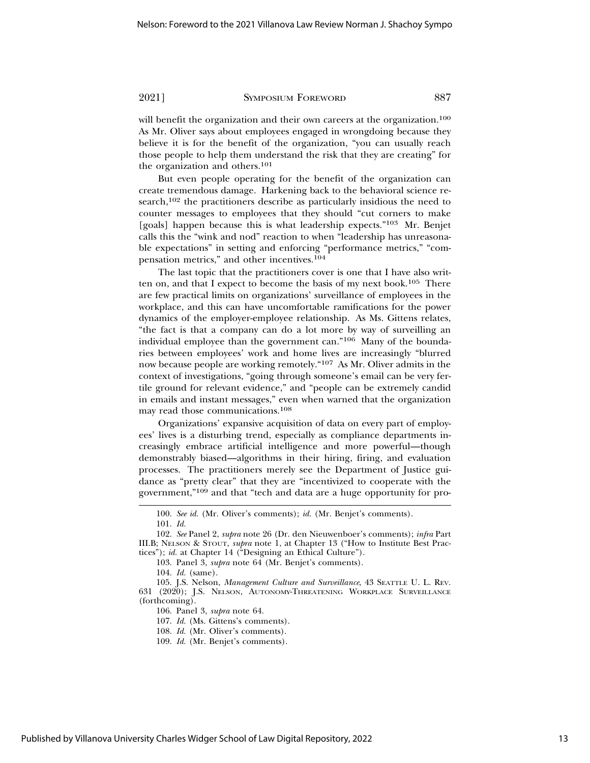will benefit the organization and their own careers at the organization.<sup>100</sup> As Mr. Oliver says about employees engaged in wrongdoing because they believe it is for the benefit of the organization, "you can usually reach those people to help them understand the risk that they are creating" for the organization and others.101

But even people operating for the benefit of the organization can create tremendous damage. Harkening back to the behavioral science research,<sup>102</sup> the practitioners describe as particularly insidious the need to counter messages to employees that they should "cut corners to make [goals] happen because this is what leadership expects."<sup>103</sup> Mr. Benjet calls this the "wink and nod" reaction to when "leadership has unreasonable expectations" in setting and enforcing "performance metrics," "compensation metrics," and other incentives.104

The last topic that the practitioners cover is one that I have also written on, and that I expect to become the basis of my next book.<sup>105</sup> There are few practical limits on organizations' surveillance of employees in the workplace, and this can have uncomfortable ramifications for the power dynamics of the employer-employee relationship. As Ms. Gittens relates, "the fact is that a company can do a lot more by way of surveilling an individual employee than the government can."106 Many of the boundaries between employees' work and home lives are increasingly "blurred now because people are working remotely."107 As Mr. Oliver admits in the context of investigations, "going through someone's email can be very fertile ground for relevant evidence," and "people can be extremely candid in emails and instant messages," even when warned that the organization may read those communications.108

Organizations' expansive acquisition of data on every part of employees' lives is a disturbing trend, especially as compliance departments increasingly embrace artificial intelligence and more powerful—though demonstrably biased—algorithms in their hiring, firing, and evaluation processes. The practitioners merely see the Department of Justice guidance as "pretty clear" that they are "incentivized to cooperate with the government,"109 and that "tech and data are a huge opportunity for pro-

<sup>100.</sup> *See id.* (Mr. Oliver's comments); *id.* (Mr. Benjet's comments).

<sup>101.</sup> *Id.*

<sup>102.</sup> *See* Panel 2, *supra* note 26 (Dr. den Nieuwenboer's comments); *infra* Part III.B; NELSON & STOUT, *supra* note 1, at Chapter 13 ("How to Institute Best Practices"); *id.* at Chapter 14 ("Designing an Ethical Culture").

<sup>103.</sup> Panel 3, *supra* note 64 (Mr. Benjet's comments).

<sup>104.</sup> *Id.* (same).

<sup>105.</sup> J.S. Nelson, *Management Culture and Surveillance*, 43 SEATTLE U. L. REV. 631 (2020); J.S. NELSON, AUTONOMY-THREATENING WORKPLACE SURVEILLANCE (forthcoming).

<sup>106.</sup> Panel 3, *supra* note 64.

<sup>107.</sup> *Id.* (Ms. Gittens's comments).

<sup>108.</sup> *Id.* (Mr. Oliver's comments).

<sup>109.</sup> *Id.* (Mr. Benjet's comments).